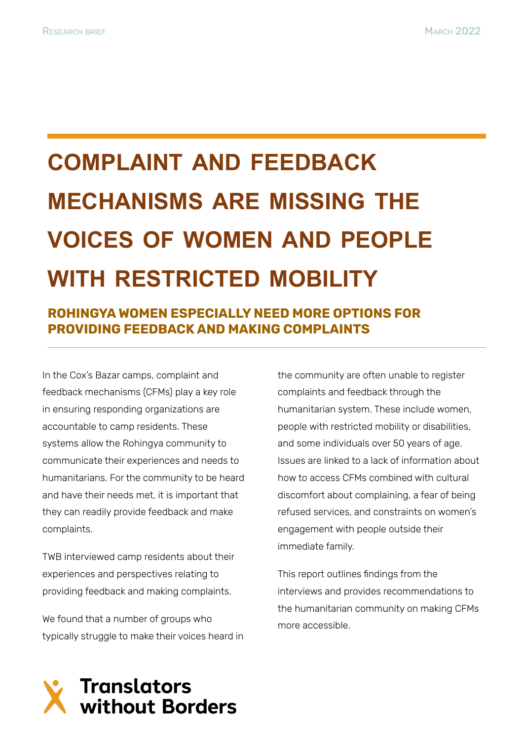# **COMPLAINT AND FEEDBACK MECHANISMS ARE MISSING THE VOICES OF WOMEN AND PEOPLE WITH RESTRICTED MOBILITY**

# **ROHINGYA WOMEN ESPECIALLY NEED MORE OPTIONS FOR PROVIDING FEEDBACK AND MAKING COMPLAINTS**

In the Cox's Bazar camps, complaint and feedback mechanisms (CFMs) play a key role in ensuring responding organizations are accountable to camp residents. These systems allow the Rohingya community to communicate their experiences and needs to humanitarians. For the community to be heard and have their needs met, it is important that they can readily provide feedback and make complaints.

TWB interviewed camp residents about their experiences and perspectives relating to providing feedback and making complaints.

We found that a number of groups who typically struggle to make their voices heard in the community are often unable to register complaints and feedback through the humanitarian system. These include women, people with restricted mobility or disabilities, and some individuals over 50 years of age. Issues are linked to a lack of information about how to access CFMs combined with cultural discomfort about complaining, a fear of being refused services, and constraints on women's engagement with people outside their immediate family.

This report outlines findings from the interviews and provides recommendations to the humanitarian community on making CFMs more accessible.

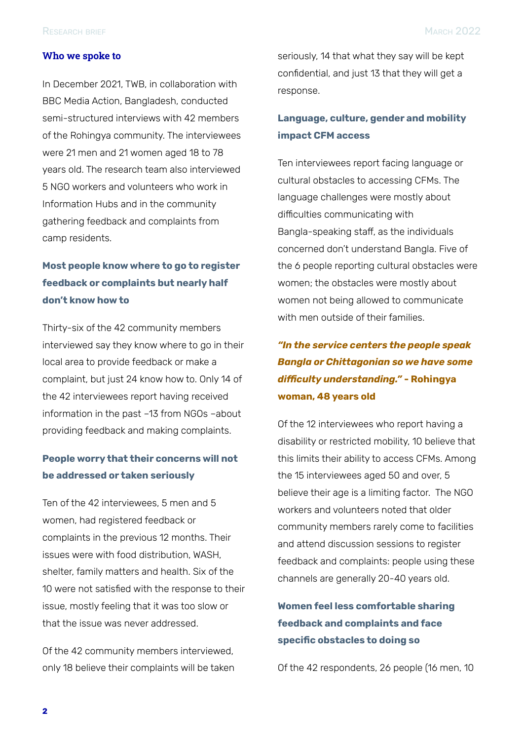#### **Who we spoke to**

In December 2021, TWB, in collaboration with BBC Media Action, Bangladesh, conducted semi-structured interviews with 42 members of the Rohingya community. The interviewees were 21 men and 21 women aged 18 to 78 years old. The research team also interviewed 5 NGO workers and volunteers who work in Information Hubs and in the community gathering feedback and complaints from camp residents.

## **Most people know where to go to register feedback or complaints but nearly half don't know how to**

Thirty-six of the 42 community members interviewed say they know where to go in their local area to provide feedback or make a complaint, but just 24 know how to. Only 14 of the 42 interviewees report having received information in the past –13 from NGOs –about providing feedback and making complaints.

#### **People worry that their concerns will not be addressed or taken seriously**

Ten of the 42 interviewees, 5 men and 5 women, had registered feedback or complaints in the previous 12 months. Their issues were with food distribution, WASH, shelter, family matters and health. Six of the 10 were not satisfied with the response to their issue, mostly feeling that it was too slow or that the issue was never addressed.

Of the 42 community members interviewed, only 18 believe their complaints will be taken seriously, 14 that what they say will be kept confidential, and just 13 that they will get a response.

### **Language, culture, gender and mobility impact CFM access**

Ten interviewees report facing language or cultural obstacles to accessing CFMs. The language challenges were mostly about difficulties communicating with Bangla-speaking staff, as the individuals concerned don't understand Bangla. Five of the 6 people reporting cultural obstacles were women; the obstacles were mostly about women not being allowed to communicate with men outside of their families.

# *"In the service centers the people speak Bangla or Chittagonian so we have some difficulty understanding."* **- Rohingya woman, 48 years old**

Of the 12 interviewees who report having a disability or restricted mobility, 10 believe that this limits their ability to access CFMs. Among the 15 interviewees aged 50 and over, 5 believe their age is a limiting factor. The NGO workers and volunteers noted that older community members rarely come to facilities and attend discussion sessions to register feedback and complaints: people using these channels are generally 20-40 years old.

## **Women feel less comfortable sharing feedback and complaints and face specific obstacles to doing so**

Of the 42 respondents, 26 people (16 men, 10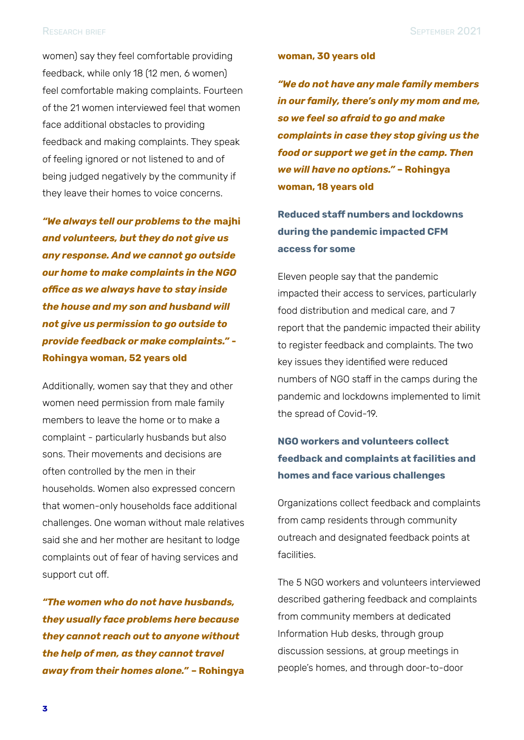women) say they feel comfortable providing feedback, while only 18 (12 men, 6 women) feel comfortable making complaints. Fourteen of the 21 women interviewed feel that women face additional obstacles to providing feedback and making complaints. They speak of feeling ignored or not listened to and of being judged negatively by the community if they leave their homes to voice concerns.

*"We always tell our problems to the* **majhi** *and volunteers, but they do not give us any response. And we cannot go outside our home to make complaints in the NGO office as we always have to stay inside the house and my son and husband will not give us permission to go outside to provide feedback or make complaints."* **- Rohingya woman, 52 years old**

Additionally, women say that they and other women need permission from male family members to leave the home or to make a complaint - particularly husbands but also sons. Their movements and decisions are often controlled by the men in their households. Women also expressed concern that women-only households face additional challenges. One woman without male relatives said she and her mother are hesitant to lodge complaints out of fear of having services and support cut off.

*"The women who do not have husbands, they usually face problems here because they cannot reach out to anyone without the help of men, as they cannot travel away from their homes alone."* **– Rohingya**

#### **woman, 30 years old**

*"We do not have any male family members in our family, there's only my mom and me, so we feel so afraid to go and make complaints in case they stop giving us the food or support we get in the camp. Then we will have no options."* **– Rohingya woman, 18 years old**

**Reduced staff numbers and lockdowns during the pandemic impacted CFM access for some**

Eleven people say that the pandemic impacted their access to services, particularly food distribution and medical care, and 7 report that the pandemic impacted their ability to register feedback and complaints. The two key issues they identified were reduced numbers of NGO staff in the camps during the pandemic and lockdowns implemented to limit the spread of Covid-19.

## **NGO workers and volunteers collect feedback and complaints at facilities and homes and face various challenges**

Organizations collect feedback and complaints from camp residents through community outreach and designated feedback points at facilities.

The 5 NGO workers and volunteers interviewed described gathering feedback and complaints from community members at dedicated Information Hub desks, through group discussion sessions, at group meetings in people's homes, and through door-to-door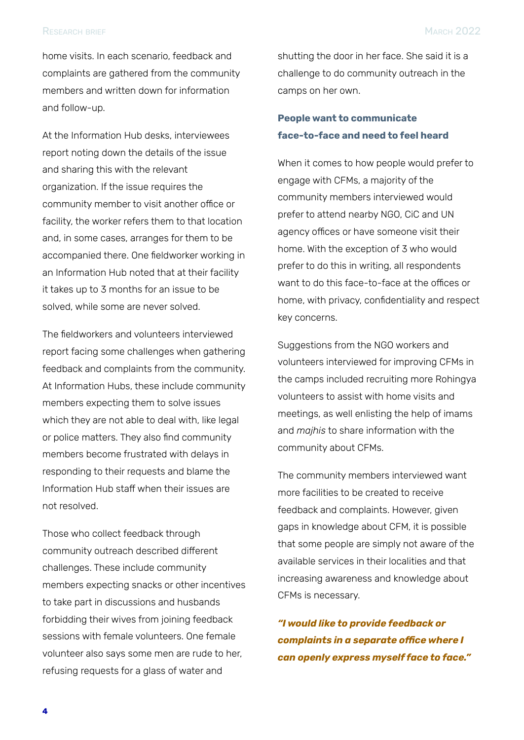#### RESEARCH BRIEF MARCH 2022

home visits. In each scenario, feedback and complaints are gathered from the community members and written down for information and follow-up.

At the Information Hub desks, interviewees report noting down the details of the issue and sharing this with the relevant organization. If the issue requires the community member to visit another office or facility, the worker refers them to that location and, in some cases, arranges for them to be accompanied there. One fieldworker working in an Information Hub noted that at their facility it takes up to 3 months for an issue to be solved, while some are never solved.

The fieldworkers and volunteers interviewed report facing some challenges when gathering feedback and complaints from the community. At Information Hubs, these include community members expecting them to solve issues which they are not able to deal with, like legal or police matters. They also find community members become frustrated with delays in responding to their requests and blame the Information Hub staff when their issues are not resolved.

Those who collect feedback through community outreach described different challenges. These include community members expecting snacks or other incentives to take part in discussions and husbands forbidding their wives from joining feedback sessions with female volunteers. One female volunteer also says some men are rude to her, refusing requests for a glass of water and

shutting the door in her face. She said it is a challenge to do community outreach in the camps on her own.

#### **People want to communicate face-to-face and need to feel heard**

When it comes to how people would prefer to engage with CFMs, a majority of the community members interviewed would prefer to attend nearby NGO, CiC and UN agency offices or have someone visit their home. With the exception of 3 who would prefer to do this in writing, all respondents want to do this face-to-face at the offices or home, with privacy, confidentiality and respect key concerns.

Suggestions from the NGO workers and volunteers interviewed for improving CFMs in the camps included recruiting more Rohingya volunteers to assist with home visits and meetings, as well enlisting the help of imams and *majhis* to share information with the community about CFMs.

The community members interviewed want more facilities to be created to receive feedback and complaints. However, given gaps in knowledge about CFM, it is possible that some people are simply not aware of the available services in their localities and that increasing awareness and knowledge about CFMs is necessary.

*"I would like to provide feedback or complaints in a separate office where I can openly express myself face to face."*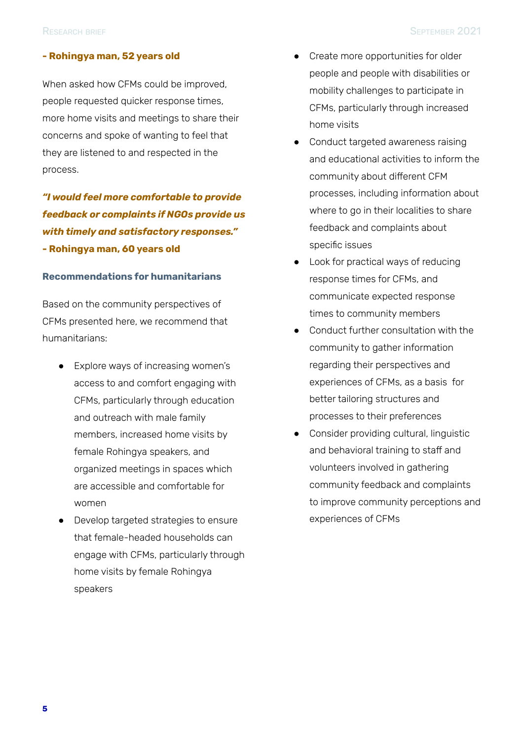#### **- Rohingya man, 52 years old**

When asked how CFMs could be improved, people requested quicker response times, more home visits and meetings to share their concerns and spoke of wanting to feel that they are listened to and respected in the process.

*"I would feel more comfortable to provide feedback or complaints if NGOs provide us with timely and satisfactory responses."* **- Rohingya man, 60 years old**

#### **Recommendations for humanitarians**

Based on the community perspectives of CFMs presented here, we recommend that humanitarians:

- Explore ways of increasing women's access to and comfort engaging with CFMs, particularly through education and outreach with male family members, increased home visits by female Rohingya speakers, and organized meetings in spaces which are accessible and comfortable for women
- Develop targeted strategies to ensure that female-headed households can engage with CFMs, particularly through home visits by female Rohingya speakers
- Create more opportunities for older people and people with disabilities or mobility challenges to participate in CFMs, particularly through increased home visits
- Conduct targeted awareness raising and educational activities to inform the community about different CFM processes, including information about where to go in their localities to share feedback and complaints about specific issues
- Look for practical ways of reducing response times for CFMs, and communicate expected response times to community members
- Conduct further consultation with the community to gather information regarding their perspectives and experiences of CFMs, as a basis for better tailoring structures and processes to their preferences
- Consider providing cultural, linguistic and behavioral training to staff and volunteers involved in gathering community feedback and complaints to improve community perceptions and experiences of CFMs